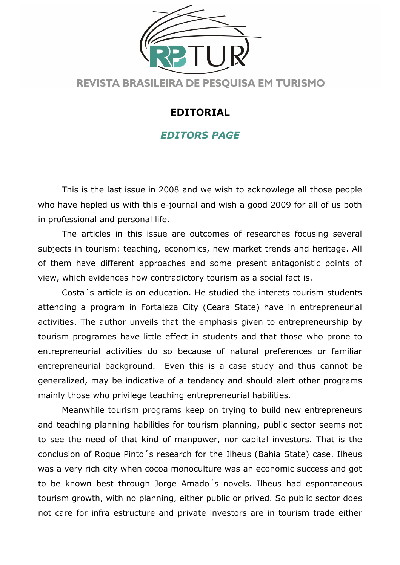

## EDITORIAL

## EDITORS PAGE

 This is the last issue in 2008 and we wish to acknowlege all those people who have hepled us with this e-journal and wish a good 2009 for all of us both in professional and personal life.

 The articles in this issue are outcomes of researches focusing several subjects in tourism: teaching, economics, new market trends and heritage. All of them have different approaches and some present antagonistic points of view, which evidences how contradictory tourism as a social fact is.

 Costa´s article is on education. He studied the interets tourism students attending a program in Fortaleza City (Ceara State) have in entrepreneurial activities. The author unveils that the emphasis given to entrepreneurship by tourism programes have little effect in students and that those who prone to entrepreneurial activities do so because of natural preferences or familiar entrepreneurial background. Even this is a case study and thus cannot be generalized, may be indicative of a tendency and should alert other programs mainly those who privilege teaching entrepreneurial habilities.

 Meanwhile tourism programs keep on trying to build new entrepreneurs and teaching planning habilities for tourism planning, public sector seems not to see the need of that kind of manpower, nor capital investors. That is the conclusion of Roque Pinto´s research for the Ilheus (Bahia State) case. Ilheus was a very rich city when cocoa monoculture was an economic success and got to be known best through Jorge Amado´s novels. Ilheus had espontaneous tourism growth, with no planning, either public or prived. So public sector does not care for infra estructure and private investors are in tourism trade either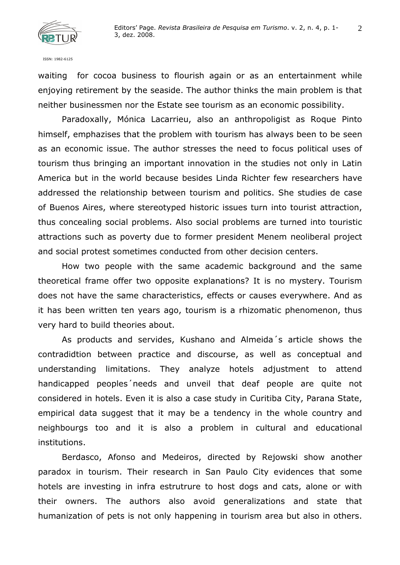

ISSN: 1982-6125

waiting for cocoa business to flourish again or as an entertainment while enjoying retirement by the seaside. The author thinks the main problem is that neither businessmen nor the Estate see tourism as an economic possibility.

 Paradoxally, Mónica Lacarrieu, also an anthropoligist as Roque Pinto himself, emphazises that the problem with tourism has always been to be seen as an economic issue. The author stresses the need to focus political uses of tourism thus bringing an important innovation in the studies not only in Latin America but in the world because besides Linda Richter few researchers have addressed the relationship between tourism and politics. She studies de case of Buenos Aires, where stereotyped historic issues turn into tourist attraction, thus concealing social problems. Also social problems are turned into touristic attractions such as poverty due to former president Menem neoliberal project and social protest sometimes conducted from other decision centers.

 How two people with the same academic background and the same theoretical frame offer two opposite explanations? It is no mystery. Tourism does not have the same characteristics, effects or causes everywhere. And as it has been written ten years ago, tourism is a rhizomatic phenomenon, thus very hard to build theories about.

 As products and servides, Kushano and Almeida´s article shows the contradidtion between practice and discourse, as well as conceptual and understanding limitations. They analyze hotels adjustment to attend handicapped peoples´needs and unveil that deaf people are quite not considered in hotels. Even it is also a case study in Curitiba City, Parana State, empirical data suggest that it may be a tendency in the whole country and neighbourgs too and it is also a problem in cultural and educational institutions.

 Berdasco, Afonso and Medeiros, directed by Rejowski show another paradox in tourism. Their research in San Paulo City evidences that some hotels are investing in infra estrutrure to host dogs and cats, alone or with their owners. The authors also avoid generalizations and state that humanization of pets is not only happening in tourism area but also in others.